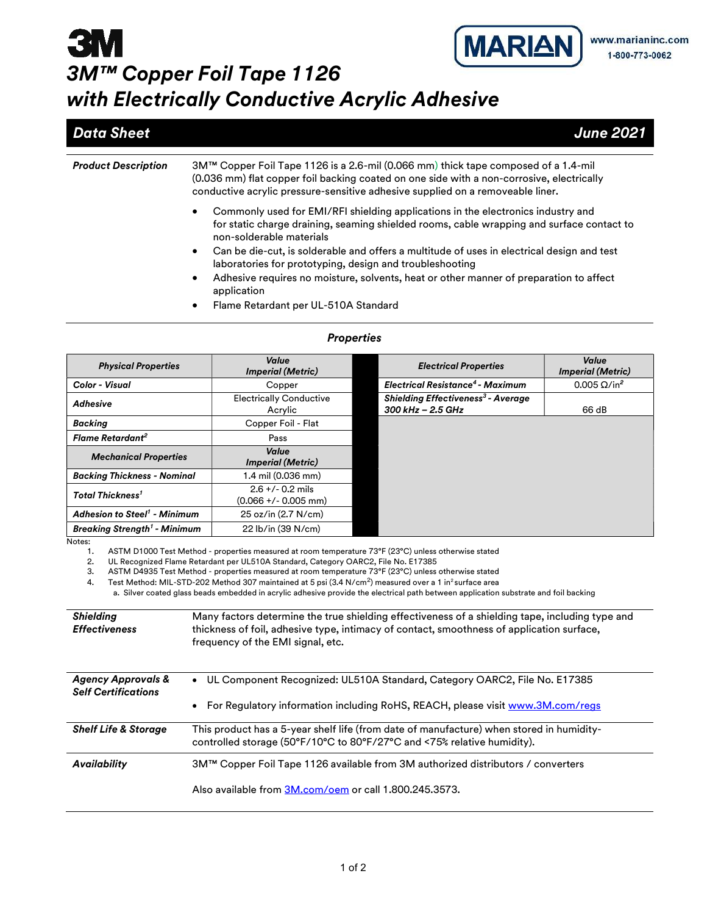## **MARIAN 3M** 3M™ Copper Foil Tape 1126 with Electrically Conductive Acrylic Adhesive

### **Data Sheet** June 2021

| <b>Product Description</b> | 3M™ Copper Foil Tape 1126 is a 2.6-mil (0.066 mm) thick tape composed of a 1.4-mil<br>(0.036 mm) flat copper foil backing coated on one side with a non-corrosive, electrically<br>conductive acrylic pressure-sensitive adhesive supplied on a removeable liner.                         |  |  |  |
|----------------------------|-------------------------------------------------------------------------------------------------------------------------------------------------------------------------------------------------------------------------------------------------------------------------------------------|--|--|--|
|                            | Commonly used for EMI/RFI shielding applications in the electronics industry and<br>٠<br>for static charge draining, seaming shielded rooms, cable wrapping and surface contact to<br>non-solderable materials                                                                            |  |  |  |
|                            | Can be die-cut, is solderable and offers a multitude of uses in electrical design and test<br>$\bullet$<br>laboratories for prototyping, design and troubleshooting<br>Adhesive requires no moisture, solvents, heat or other manner of preparation to affect<br>$\bullet$<br>application |  |  |  |
|                            | Flame Retardant per UL-510A Standard<br>٠                                                                                                                                                                                                                                                 |  |  |  |

#### **Properties**

| <b>Physical Properties</b>                                                                     | Value<br><b>Imperial (Metric)</b>                                                                                                                                                                                                                                                                                                                                                                                                                                                                                                                                                                                                                                                                          |  | <b>Electrical Properties</b>                                                  | Value<br><b>Imperial (Metric)</b> |  |  |
|------------------------------------------------------------------------------------------------|------------------------------------------------------------------------------------------------------------------------------------------------------------------------------------------------------------------------------------------------------------------------------------------------------------------------------------------------------------------------------------------------------------------------------------------------------------------------------------------------------------------------------------------------------------------------------------------------------------------------------------------------------------------------------------------------------------|--|-------------------------------------------------------------------------------|-----------------------------------|--|--|
| Color - Visual                                                                                 | Copper                                                                                                                                                                                                                                                                                                                                                                                                                                                                                                                                                                                                                                                                                                     |  | <b>Electrical Resistance<sup>4</sup> - Maximum</b>                            | $0.005 \Omega/in^2$               |  |  |
| <b>Adhesive</b>                                                                                | <b>Electrically Conductive</b><br>Acrylic                                                                                                                                                                                                                                                                                                                                                                                                                                                                                                                                                                                                                                                                  |  | <b>Shielding Effectiveness<sup>3</sup> - Average</b><br>$300$ kHz $- 2.5$ GHz | 66 dB                             |  |  |
| <b>Backing</b>                                                                                 | Copper Foil - Flat                                                                                                                                                                                                                                                                                                                                                                                                                                                                                                                                                                                                                                                                                         |  |                                                                               |                                   |  |  |
| <b>Flame Retardant<sup>2</sup></b>                                                             | Pass                                                                                                                                                                                                                                                                                                                                                                                                                                                                                                                                                                                                                                                                                                       |  |                                                                               |                                   |  |  |
| <b>Mechanical Properties</b>                                                                   | Value<br><b>Imperial (Metric)</b>                                                                                                                                                                                                                                                                                                                                                                                                                                                                                                                                                                                                                                                                          |  |                                                                               |                                   |  |  |
| <b>Backing Thickness - Nominal</b>                                                             | 1.4 mil (0.036 mm)                                                                                                                                                                                                                                                                                                                                                                                                                                                                                                                                                                                                                                                                                         |  |                                                                               |                                   |  |  |
| <b>Total Thickness<sup>1</sup></b>                                                             | $2.6 +/- 0.2$ mils<br>$(0.066 + / - 0.005$ mm)                                                                                                                                                                                                                                                                                                                                                                                                                                                                                                                                                                                                                                                             |  |                                                                               |                                   |  |  |
| <b>Adhesion to Steel<sup>1</sup> - Minimum</b>                                                 | 25 oz/in (2.7 N/cm)                                                                                                                                                                                                                                                                                                                                                                                                                                                                                                                                                                                                                                                                                        |  |                                                                               |                                   |  |  |
| <b>Breaking Strength<sup>1</sup> - Minimum</b>                                                 | 22 lb/in (39 N/cm)                                                                                                                                                                                                                                                                                                                                                                                                                                                                                                                                                                                                                                                                                         |  |                                                                               |                                   |  |  |
| 2.<br>3.<br>4.<br><b>Shielding</b><br><b>Effectiveness</b>                                     | UL Recognized Flame Retardant per UL510A Standard, Category OARC2, File No. E17385<br>ASTM D4935 Test Method - properties measured at room temperature 73°F (23°C) unless otherwise stated<br>Test Method: MIL-STD-202 Method 307 maintained at 5 psi (3.4 N/cm <sup>2</sup> ) measured over a 1 in <sup>2</sup> surface area<br>a. Silver coated glass beads embedded in acrylic adhesive provide the electrical path between application substrate and foil backing<br>Many factors determine the true shielding effectiveness of a shielding tape, including type and<br>thickness of foil, adhesive type, intimacy of contact, smoothness of application surface,<br>frequency of the EMI signal, etc. |  |                                                                               |                                   |  |  |
| <b>Agency Approvals &amp;</b><br><b>Self Certifications</b><br><b>Shelf Life &amp; Storage</b> | UL Component Recognized: UL510A Standard, Category OARC2, File No. E17385<br>For Regulatory information including RoHS, REACH, please visit www.3M.com/regs<br>This product has a 5-year shelf life (from date of manufacture) when stored in humidity-                                                                                                                                                                                                                                                                                                                                                                                                                                                    |  |                                                                               |                                   |  |  |
|                                                                                                | controlled storage (50°F/10°C to 80°F/27°C and <75% relative humidity).                                                                                                                                                                                                                                                                                                                                                                                                                                                                                                                                                                                                                                    |  |                                                                               |                                   |  |  |
| <b>Availability</b>                                                                            | 3M™ Copper Foil Tape 1126 available from 3M authorized distributors / converters<br>Also available from 3M.com/oem or call 1.800.245.3573.                                                                                                                                                                                                                                                                                                                                                                                                                                                                                                                                                                 |  |                                                                               |                                   |  |  |